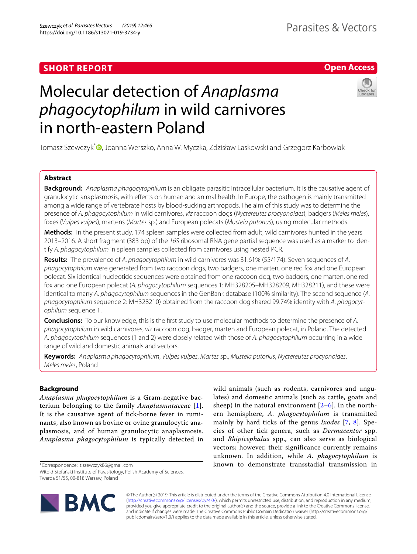# **SHORT REPORT**

# **Open Access**

# Molecular detection of *Anaplasma phagocytophilum* in wild carnivores in north-eastern Poland



Tomasz Szewczyk<sup>\*</sup> D[,](http://orcid.org/0000-0002-7424-1283) Joanna Werszko, Anna W. Myczka, Zdzisław Laskowski and Grzegorz Karbowiak

# **Abstract**

**Background:** *Anaplasma phagocytophilum* is an obligate parasitic intracellular bacterium. It is the causative agent of granulocytic anaplasmosis, with efects on human and animal health. In Europe, the pathogen is mainly transmitted among a wide range of vertebrate hosts by blood-sucking arthropods. The aim of this study was to determine the presence of *A. phagocytophilum* in wild carnivores, *viz* raccoon dogs (*Nyctereutes procyonoides*), badgers (*Meles meles*), foxes (*Vulpes vulpes*), martens (*Martes* sp.) and European polecats (*Mustela putorius*), using molecular methods.

**Methods:** In the present study, 174 spleen samples were collected from adult, wild carnivores hunted in the years 2013–2016. A short fragment (383 bp) of the *16S* ribosomal RNA gene partial sequence was used as a marker to identify *A. phagocytophilum* in spleen samples collected from carnivores using nested PCR.

**Results:** The prevalence of *A. phagocytophilum* in wild carnivores was 31.61% (55/174). Seven sequences of *A*. *phagocytophilum* were generated from two raccoon dogs, two badgers, one marten, one red fox and one European polecat. Six identical nucleotide sequences were obtained from one raccoon dog, two badgers, one marten, one red fox and one European polecat (*A. phagocytophilum* sequences 1: MH328205–MH328209, MH328211), and these were identical to many *A*. *phagocytophilum* sequences in the GenBank database (100% similarity). The second sequence (*A. phagocytophilum* sequence 2: MH328210) obtained from the raccoon dog shared 99.74% identity with *A*. *phagocytophilum* sequence 1.

**Conclusions:** To our knowledge, this is the frst study to use molecular methods to determine the presence of *A*. *phagocytophilum* in wild carnivores, *viz* raccoon dog, badger, marten and European polecat, in Poland. The detected *A*. *phagocytophilum* sequences (1 and 2) were closely related with those of *A*. *phagocytophilum* occurring in a wide range of wild and domestic animals and vectors.

**Keywords:** *Anaplasma phagocytophilum*, *Vulpes vulpes*, *Martes* sp., *Mustela putorius*, *Nyctereutes procyonoides*, *Meles meles*, Poland

# **Background**

*Anaplasma phagocytophilum* is a Gram-negative bacterium belonging to the family *Anaplasmataceae* [[1\]](#page-3-0). It is the causative agent of tick-borne fever in ruminants, also known as bovine or ovine granulocytic anaplasmosis, and of human granulocytic anaplasmosis. *Anaplasma phagocytophilum* is typically detected in

\*Correspondence: t.szewczyk86@gmail.com

Witold Stefański Institute of Parasitology, Polish Academy of Sciences, Twarda 51/55, 00-818 Warsaw, Poland

wild animals (such as rodents, carnivores and ungulates) and domestic animals (such as cattle, goats and sheep) in the natural environment  $[2-6]$  $[2-6]$ . In the northern hemisphere, *A. phagocytophilum* is transmitted mainly by hard ticks of the genus *Ixodes* [[7](#page-3-3), [8\]](#page-3-4). Species of other tick genera, such as *Dermacentor* spp. and *Rhipicephalus* spp., can also serve as biological vectors; however, their significance currently remains unknown. In addition, while *A. phagocytophilum* is known to demonstrate transstadial transmission in



© The Author(s) 2019. This article is distributed under the terms of the Creative Commons Attribution 4.0 International License [\(http://creativecommons.org/licenses/by/4.0/\)](http://creativecommons.org/licenses/by/4.0/), which permits unrestricted use, distribution, and reproduction in any medium, provided you give appropriate credit to the original author(s) and the source, provide a link to the Creative Commons license, and indicate if changes were made. The Creative Commons Public Domain Dedication waiver (http://creativecommons.org/ publicdomain/zero/1.0/) applies to the data made available in this article, unless otherwise stated.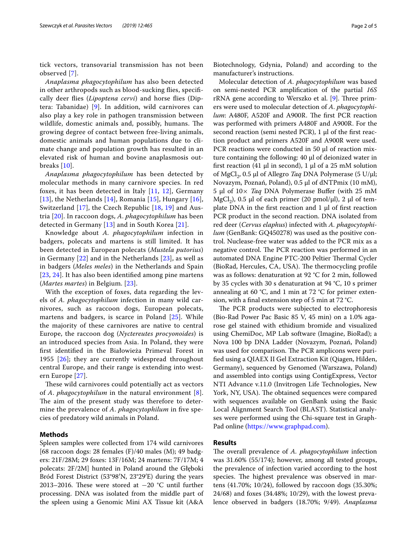tick vectors, transovarial transmission has not been observed [\[7](#page-3-3)].

*Anaplasma phagocytophilum* has also been detected in other arthropods such as blood-sucking fies, specifcally deer fies (*Lipoptena cervi*) and horse fies (Diptera: Tabanidae) [\[9](#page-3-5)]. In addition, wild carnivores can also play a key role in pathogen transmission between wildlife, domestic animals and, possibly, humans. The growing degree of contact between free-living animals, domestic animals and human populations due to climate change and population growth has resulted in an elevated risk of human and bovine anaplasmosis outbreaks [[10](#page-3-6)].

*Anaplasma phagocytophilum* has been detected by molecular methods in many carnivore species. In red foxes, it has been detected in Italy [\[11](#page-3-7), [12\]](#page-3-8), Germany [[13](#page-3-9)], the Netherlands [[14](#page-3-10)], Romania [[15\]](#page-3-11), Hungary [[16\]](#page-3-12), Switzerland [[17\]](#page-3-13), the Czech Republic [\[18](#page-4-0), [19\]](#page-4-1) and Austria [\[20](#page-4-2)]. In raccoon dogs, *A*. *phagocytophilum* has been detected in Germany [\[13](#page-3-9)] and in South Korea [[21](#page-4-3)].

Knowledge about *A. phagocytophilum* infection in badgers, polecats and martens is still limited. It has been detected in European polecats (*Mustela putorius*) in Germany [[22](#page-4-4)] and in the Netherlands [[23\]](#page-4-5), as well as in badgers (*Meles meles*) in the Netherlands and Spain [[23](#page-4-5), [24](#page-4-6)]. It has also been identifed among pine martens (*Martes martes*) in Belgium. [[23\]](#page-4-5).

With the exception of foxes, data regarding the levels of *A. phagocytophilum* infection in many wild carnivores, such as raccoon dogs, European polecats, martens and badgers, is scarce in Poland [[25](#page-4-7)]. While the majority of these carnivores are native to central Europe, the raccoon dog (*Nyctereutes procyonoides*) is an introduced species from Asia. In Poland, they were frst identifed in the Białowieża Primeval Forest in 1955 [[26](#page-4-8)]; they are currently widespread throughout central Europe, and their range is extending into western Europe [\[27](#page-4-9)].

These wild carnivores could potentially act as vectors of *A*. *phagocytophilum* in the natural environment [[8\]](#page-3-4). The aim of the present study was therefore to determine the prevalence of *A*. *phagocytophilum* in fve species of predatory wild animals in Poland.

## **Methods**

Spleen samples were collected from 174 wild carnivores [68 raccoon dogs: 28 females  $(F)/40$  males  $(M)$ ; 49 badgers: 21F/28M; 29 foxes: 13F/16M; 24 martens: 7F/17M; 4 polecats: 2F/2M] hunted in Poland around the Głęboki Bród Forest District (53°98′N, 23°29′E) during the years 2013–2016. These were stored at  $-20$  °C until further processing. DNA was isolated from the middle part of the spleen using a Genomic Mini AX Tissue kit (A&A

Biotechnology, Gdynia, Poland) and according to the manufacturer's instructions.

Molecular detection of *A*. *phagocytophilum* was based on semi-nested PCR amplifcation of the partial *16S* rRNA gene according to Werszko et al. [[9\]](#page-3-5). Three primers were used to molecular detection of *A*. *phagocytophilum*: A480F, A520F and A900R. The first PCR reaction was performed with primers A480F and A900R. For the second reaction (semi nested PCR), 1 μl of the frst reaction product and primers A520F and A900R were used. PCR reactions were conducted in 50 µl of reaction mixture containing the following: 40 μl of deionized water in first reaction (41 μl in second), 1 μl of a 25 mM solution of MgCl<sub>2</sub>, 0.5 μl of Allegro *Taq* DNA Polymerase (5 U/μl; Novazym, Poznań, Poland), 0.5 μl of dNTPmix (10 mM), 5 μl of 10× *Taq* DNA Polymerase Bufer (with 25 mM MgCl<sub>2</sub>), 0.5 μl of each primer (20 pmol/μl), 2 μl of template DNA in the first reaction and 1  $\mu$ l of first reaction PCR product in the second reaction. DNA isolated from red deer (*Cervus elaphus*) infected with *A. phagocytophilum* (GenBank: GQ450278) was used as the positive control. Nuclease-free water was added to the PCR mix as a negative control. The PCR reaction was performed in an automated DNA Engine PTC-200 Peltier Thermal Cycler (BioRad, Hercules, CA, USA). The thermocycling profile was as follows: denaturation at 92 °C for 2 min, followed by 35 cycles with 30 s denaturation at 94 °C, 10 s primer annealing at 60 °C, and 1 min at 72 °C for primer extension, with a fnal extension step of 5 min at 72 °C.

The PCR products were subjected to electrophoresis (Bio-Rad Power Pac Basic 85 V, 45 min) on a 1.0% agarose gel stained with ethidium bromide and visualized using ChemiDoc, MP Lab software (Imagine, BioRad); a Nova 100 bp DNA Ladder (Novazym, Poznań, Poland) was used for comparison. The PCR amplicons were purifed using a QIAEX II Gel Extraction Kit (Qiagen, Hilden, Germany), sequenced by Genomed (Warszawa, Poland) and assembled into contigs using ContigExpress, Vector NTI Advance v.11.0 (Invitrogen Life Technologies, New York, NY, USA). The obtained sequences were compared with sequences available on GenBank using the Basic Local Alignment Search Tool (BLAST). Statistical analyses were performed using the Chi-square test in Graph-Pad online [\(https://www.graphpad.com](https://www.graphpad.com)).

## **Results**

The overall prevalence of *A. phagocytophilum* infection was 31.60% (55/174); however, among all tested groups, the prevalence of infection varied according to the host species. The highest prevalence was observed in martens (41.70%; 10/24), followed by raccoon dogs (35.30%; 24/68) and foxes (34.48%; 10/29), with the lowest prevalence observed in badgers (18.70%; 9/49). *Anaplasma*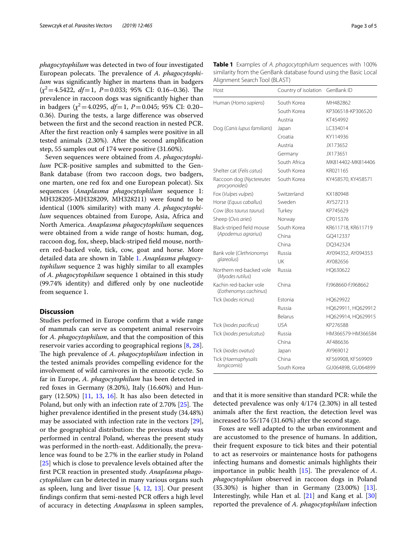*phagocytophilum* was detected in two of four investigated European polecats. The prevalence of A. *phagocytophilum* was signifcantly higher in martens than in badgers  $(\chi^2=4.5422, df=1, P=0.033; 95\% \text{ CI: } 0.16-0.36).$  The prevalence in raccoon dogs was signifcantly higher than in badgers  $(\chi^2 = 4.0295, df = 1, P = 0.045; 95\% \text{ CI: } 0.20 -$ 0.36). During the tests, a large diference was observed between the frst and the second reaction in nested PCR. After the frst reaction only 4 samples were positive in all tested animals (2.30%). After the second amplifcation step, 55 samples out of 174 were positive (31.60%).

Seven sequences were obtained from *A*. *phagocytophilum* PCR-positive samples and submitted to the Gen-Bank database (from two raccoon dogs, two badgers, one marten, one red fox and one European polecat). Six sequences (*Anaplasma phagocytophilum* sequence 1: MH328205-MH328209, MH328211) were found to be identical (100% similarity) with many *A*. *phagocytophilum* sequences obtained from Europe, Asia, Africa and North America. *Anaplasma phagocytophilum* sequences were obtained from a wide range of hosts: human, dog, raccoon dog, fox, sheep, black-striped feld mouse, northern red-backed vole, tick, cow, goat and horse. More detailed data are shown in Table [1.](#page-2-0) *Anaplasma phagocytophilum* sequence 2 was highly similar to all examples of *A*. *phagocytophilum* sequence 1 obtained in this study (99.74% identity) and difered only by one nucleotide from sequence 1.

### **Discussion**

Studies performed in Europe confrm that a wide range of mammals can serve as competent animal reservoirs for *A. phagocytophilum*, and that the composition of this reservoir varies according to geographical regions [[8,](#page-3-4) [28](#page-4-10)]. The high prevalence of *A. phagocytophilum* infection in the tested animals provides compelling evidence for the involvement of wild carnivores in the enzootic cycle. So far in Europe, *A*. *phagocytophilum* has been detected in red foxes in Germany (8.20%), Italy (16.60%) and Hungary  $(12.50\%)$  [[11](#page-3-7), [13](#page-3-9), [16](#page-3-12)]. It has also been detected in Poland, but only with an infection rate of  $2.70\%$  [ $25$ ]. The higher prevalence identifed in the present study (34.48%) may be associated with infection rate in the vectors [\[29](#page-4-11)], or the geographical distribution: the previous study was performed in central Poland, whereas the present study was performed in the north-east. Additionally, the prevalence was found to be 2.7% in the earlier study in Poland [[25\]](#page-4-7) which is close to prevalence levels obtained after the frst PCR reaction in presented study. *Anaplasma phagocytophilum* can be detected in many various organs such as spleen, lung and liver tissue [[4,](#page-3-14) [12](#page-3-8), [13](#page-3-9)]. Our present findings confirm that semi-nested PCR offers a high level of accuracy in detecting *Anaplasma* in spleen samples,

<span id="page-2-0"></span>

| <b>Table 1</b> Examples of A. phagocytophilum sequences with 100% |  |
|-------------------------------------------------------------------|--|
| similarity from the GenBank database found using the Basic Local  |  |
| Alignment Search Tool (BLAST)                                     |  |

| Host                                            | Country of isolation | GenBank ID         |  |
|-------------------------------------------------|----------------------|--------------------|--|
| Human (Homo sapiens)                            | South Korea          | MH482862           |  |
|                                                 | South Korea          | KP306518-KP306520  |  |
|                                                 | Austria              | KT454992           |  |
| Dog (Canis lupus familiaris)                    | Japan                | IC334014           |  |
|                                                 | Croatia              | KY114936           |  |
|                                                 | Austria              | JX173652           |  |
|                                                 | Germany              | JX173651           |  |
|                                                 | South Africa         | MK814402-MK814406  |  |
| Shelter cat (Felis catus)                       | South Korea          | KR021165           |  |
| Raccoon dog (Nyctereutes<br>procyonoides)       | South Korea          | KY458570, KY458571 |  |
| Fox (Vulpes vulpes)                             | Switzerland          | KX180948           |  |
| Horse (Equus caballus)                          | Sweden               | AY527213           |  |
| Cow (Bos taurus taurus)                         | Turkey               | KP745629           |  |
| Sheep (Ovis aries)                              | Norway               | CP015376           |  |
| Black-striped field mouse                       | South Korea          | KR611718, KR611719 |  |
| (Apodemus agrarius)                             | China                | GO412337           |  |
|                                                 | China                | DO342324           |  |
| Bank vole (Clethrionomys                        | Russia               | AY094352, AY094353 |  |
| glareolus)                                      | UK                   | AY082656           |  |
| Northern red-backed vole<br>(Myodes rutilus)    | Russia               | HO630622           |  |
| Kachin red-backer vole<br>(Eothenomys cachinus) | China                | F1968660-F1968662  |  |
| Tick (Ixodes ricinus)                           | Estonia              | HO629922           |  |
|                                                 | Russia               | HQ629911, HQ629912 |  |
|                                                 | Belarus              | HQ629914, HQ629915 |  |
| Tick (Ixodes pacificus)                         | <b>USA</b>           | KP276588           |  |
| Tick (Ixodes persulcatus)                       | Russia               | HM366579-HM366584  |  |
|                                                 | China                | AF486636           |  |
| Tick (Ixodes ovatus)                            | Japan                | AY969012           |  |
| Tick (Haemaphysalis                             | China                | KF569908, KF569909 |  |
| longicornis)                                    | South Korea          | GU064898, GU064899 |  |

and that it is more sensitive than standard PCR: while the detected prevalence was only 4/174 (2.30%) in all tested animals after the frst reaction, the detection level was increased to 55/174 (31.60%) after the second stage.

Foxes are well adapted to the urban environment and are accustomed to the presence of humans. In addition, their frequent exposure to tick bites and their potential to act as reservoirs or maintenance hosts for pathogens infecting humans and domestic animals highlights their importance in public health  $[15]$  $[15]$  $[15]$ . The prevalence of A. *phagocytophilum* observed in raccoon dogs in Poland (35.30%) is higher than in Germany (23.00%) [\[13](#page-3-9)]. Interestingly, while Han et al. [[21\]](#page-4-3) and Kang et al. [[30](#page-4-12)] reported the prevalence of *A. phagocytophilum* infection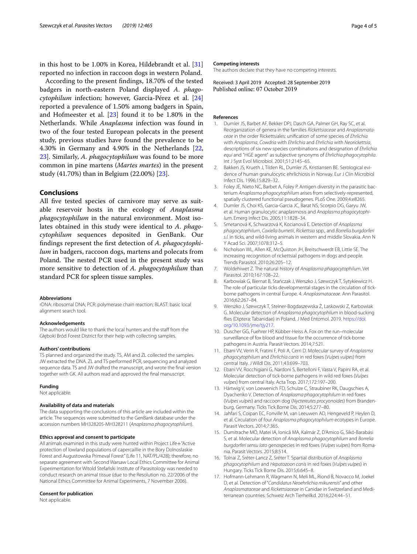in this host to be 1.00% in Korea, Hildebrandt et al. [[31](#page-4-13)] reported no infection in raccoon dogs in western Poland.

According to the present fndings, 18.70% of the tested badgers in north-eastern Poland displayed *A*. *phagocytophilum* infection; however, Garcia-Pérez et al. [[24](#page-4-6)] reported a prevalence of 1.50% among badgers in Spain, and Hofmeester et al. [\[23](#page-4-5)] found it to be 1.80% in the Netherlands. While *Anaplasma* infection was found in two of the four tested European polecats in the present study, previous studies have found the prevalence to be 4.30% in Germany and 4.90% in the Netherlands [\[22](#page-4-4), [23\]](#page-4-5). Similarly, *A. phagocytophilum* was found to be more common in pine martens (*Martes martes*) in the present study (41.70%) than in Belgium (22.00%) [[23\]](#page-4-5).

## **Conclusions**

All fve tested species of carnivore may serve as suitable reservoir hosts in the ecology of *Anaplasma phagocytophilum* in the natural environment. Most isolates obtained in this study were identical to *A*. *phagocytophilum* sequences deposited in GenBank. Our fndings represent the frst detection of *A. phagocytophilum* in badgers, raccoon dogs, martens and polecats from Poland. The nested PCR used in the present study was more sensitive to detection of *A. phagocytophilum* than standard PCR for spleen tissue samples.

#### **Abbreviations**

rDNA: ribosomal DNA; PCR: polymerase chain reaction; BLAST: basic local alignment search tool.

#### **Acknowledgements**

The authors would like to thank the local hunters and the staff from the Głęboki Bród Forest District for their help with collecting samples.

#### **Authors' contributions**

TS planned and organized the study. TS, AM and ZL collected the samples. JW extracted the DNA. ZL and TS performed PCR, sequencing and analyzed sequence data. TS and JW drafted the manuscript, and wrote the fnal version together with GK. All authors read and approved the fnal manuscript.

#### **Funding**

Not applicable.

#### **Availability of data and materials**

The data supporting the conclusions of this article are included within the article. The sequences were submitted to the GenBank database under the accession numbers MH328205-MH328211 (*Anaplasma phagocytophilum*).

#### **Ethics approval and consent to participate**

All animals examined in this study were hunted within Project Life+"Active protection of lowland populations of capercaillie in the Bory Dolnoslaskie Forest and Augustowska Primeval Forest" (Life 11, NAT/PL/428); therefore, no separate agreement with Second Warsaw Local Ethics Committee for Animal Experimentation for Witold Stefański Institute of Parasitology was needed to conduct research on animal tissue (due to the Resolution no. 22/2006 of the National Ethics Committee for Animal Experiments, 7 November 2006).

#### **Consent for publication**

Not applicable.

#### **Competing interests**

The authors declare that they have no competing interests.

Received: 3 April 2019 Accepted: 28 September 2019<br>Published online: 07 October 2019

## **References**

- <span id="page-3-0"></span>1. Dumler JS, Barbet AF, Bekker DPJ, Dasch GA, Palmer GH, Ray SC, et al. Reorganization of genera in the families *Rickettsiaceae* and *Anaplasmataceae* in the order Rickettsiales: unifcation of some species of *Ehrlichia* with *Anaplasma*, *Cowdria* with *Ehrlichia* and *Ehrlichia* with *Neorickettsia*, descriptions of six new species combinations and designation of *Ehrlichia equi* and 'HGE agent' as subjective synonyms of *Ehrlichia phagocytophila*. Int J Syst Evol Microbiol. 2001;51:2145–65.
- <span id="page-3-1"></span>2. Bakken JS, Krueth J, Tilden RL, Dumler JS, Kristiansen BE. Serological evidence of human granulocytic ehrlichiosis in Norway. Eur J Clin Microbiol Infect Dis. 1996;15:829–32.
- 3. Foley JE, Nieto NC, Barbet A, Foley P. Antigen diversity in the parasitic bacterium *Anaplasma phagocytophilum* arises from selectively-represented, spatially clustered functional pseudogenes. PLoS One. 2009;4:e8265.
- <span id="page-3-14"></span>4. Dumler JS, Choi KS, Garcia-Garcia JC, Barat NS, Scorpio DG, Garyu JW, et al. Human granulocytic anaplasmosis and *Anaplasma phagocytophilum*. Emerg Infect Dis. 2005;11:1828–34.
- 5. Smetanová K, Schwarzová K, Kocianová E. Detection of *Anaplasma phagocytophilum*, *Coxiella burnetii*, *Rickettsia* spp., and *Borrelia burgdorferi s.l.* in ticks, and wild-living animals in western and middle Slovakia. Ann N Y Acad Sci. 2007;1078:312–5.
- <span id="page-3-2"></span>6. Nicholson WL, Allen KE, McQuiston JH, Breitschwerdt EB, Little SE. The increasing recognition of rickettsial pathogens in dogs and people. Trends Parasitol. 2010;26:205–12.
- <span id="page-3-3"></span>7. Woldehiwet Z. The natural history of *Anaplasma phagocytophilum*. Vet Parasitol. 2010;167:108–22.
- <span id="page-3-4"></span>8. Karbowiak G, Biernat B, Stańczak J, Werszko J, Szewczyk T, Sytykiewicz H. The role of particular ticks developmental stages in the circulation of tickborne pathogens in central Europe. 4. *Anaplasmataceae*. Ann Parasitol. 2016;62:267–84.
- <span id="page-3-5"></span>9. Werszko J, Szewczyk T, Steiner-Bogdaszewska Ż, Laskowski Z, Karbowiak G. Molecular detection of *Anaplasma phagocytophilum* in blood-sucking flies (Diptera: Tabanidae) in Poland. J Med Entomol. 2019. [https://doi.](https://doi.org/10.1093/jme/tjy217) [org/10.1093/jme/tjy217.](https://doi.org/10.1093/jme/tjy217)
- <span id="page-3-6"></span>10. Duscher GG, Fuehrer HP, Kübber-Heiss A. Fox on the run–molecular surveillance of fox blood and tissue for the occurrence of tick-borne pathogens in Austria. Parasit Vectors. 2014;7:521.
- <span id="page-3-7"></span>11. Ebani VV, Verin R, Fratini F, Poli A, Cerri D. Molecular survey of *Anaplasma phagocytophilum* and *Ehrlichia canis* in red foxes (*Vulpes vulpes*) from central Italy. J Wildl Dis. 2011;43:699–703.
- <span id="page-3-8"></span>12. Ebani VV, Rocchigiani G, Nardoni S, Bertelloni F, Vasta V, Papini RA, et al. Molecular detection of tick-borne pathogens in wild red foxes (*Vulpes vulpes*) from central Italy. Acta Trop. 2017;172:197–200.
- <span id="page-3-9"></span>13. Härtwig V, von Loewenich FD, Schulze C, Straubiner RK, Daugschies A, Dyachenko V. Detection of *Anaplasma phagocytophilum* in red foxes (*Vulpes vulpes*) and raccoon dog (*Nyctereutes procyonoides*) from Brandenburg, Germany. Ticks Tick Borne Dis. 2014;5:277–80.
- <span id="page-3-10"></span>14. Jahfari S, Coipan EC, Fonville M, van Leeuwen AD, Hengeveld P, Heylen D, et al. Circulation of four *Anaplasma phagocytophilum* ecotypes in Europe. Parasit Vectors. 2014;7:365.
- <span id="page-3-11"></span>15. Dumitrache MO, Matei IA, Ionică MA, Kalmár Z, D'Amico G, Sikó-Barabási S, et al. Molecular detection of *Anaplasma phagocytophilum* and *Borrelia burgdorferi sensu lato* genospecies in red foxes (*Vulpes vulpes*) from Romania. Parasit Vectors. 2015;8:514.
- <span id="page-3-12"></span>16. Tolnai Z, Sréter-Lancz Z, Sréter T. Spartial distribution of *Anaplasma phagocytophilum* and *Hepatozoon canis* in red foxes (*Vulpes vulpes*) in Hungary. Ticks Tick Borne Dis. 2015;6:645–8.
- <span id="page-3-13"></span>17. Hofmann-Lehmann R, Wagmann N, Meli ML, Riond B, Novacco M, Joekel D, et al. Detection of "*Candidatus Neoehrlichia mikurensis*" and other *Anaplasmataceae* and *Rickettsiaceae* in Canidae in Switzerland and Mediterranean countries. Schweiz Arch Tierheilkd. 2016;224:44–51.